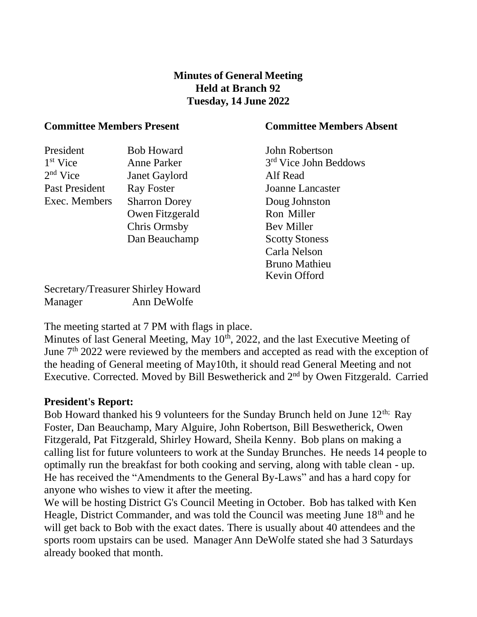## **Minutes of General Meeting Held at Branch 92 Tuesday, 14 June 2022**

### **Committee Members Present Committee Members Absent**

### President Bob Howard John Robertson 1<sup>st</sup> Vice Anne Parker  $2<sup>nd</sup>$  Vice Janet Gaylord Alf Read Past President Ray Foster Joanne Lancaster Exec. Members Sharron Dorey Owen Fitzgerald Chris Ormsby Dan Beauchamp Bev Miller

Secretary/Treasurer Shirley Howard Manager Ann DeWolfe

The meeting started at 7 PM with flags in place.

Minutes of last General Meeting, May  $10<sup>th</sup>$ , 2022, and the last Executive Meeting of June 7<sup>th</sup> 2022 were reviewed by the members and accepted as read with the exception of the heading of General meeting of May10th, it should read General Meeting and not Executive. Corrected. Moved by Bill Beswetherick and 2<sup>nd</sup> by Owen Fitzgerald. Carried

### **President's Report:**

Bob Howard thanked his 9 volunteers for the Sunday Brunch held on June 12<sup>th;</sup> Ray Foster, Dan Beauchamp, Mary Alguire, John Robertson, Bill Beswetherick, Owen Fitzgerald, Pat Fitzgerald, Shirley Howard, Sheila Kenny. Bob plans on making a calling list for future volunteers to work at the Sunday Brunches. He needs 14 people to optimally run the breakfast for both cooking and serving, along with table clean - up. He has received the "Amendments to the General By-Laws" and has a hard copy for anyone who wishes to view it after the meeting.

We will be hosting District G's Council Meeting in October. Bob has talked with Ken Heagle, District Commander, and was told the Council was meeting June 18<sup>th</sup> and he will get back to Bob with the exact dates. There is usually about 40 attendees and the sports room upstairs can be used. Manager Ann DeWolfe stated she had 3 Saturdays already booked that month.

3<sup>rd</sup> Vice John Beddows Doug Johnston Ron Miller Scotty Stoness Carla Nelson Bruno Mathieu Kevin Offord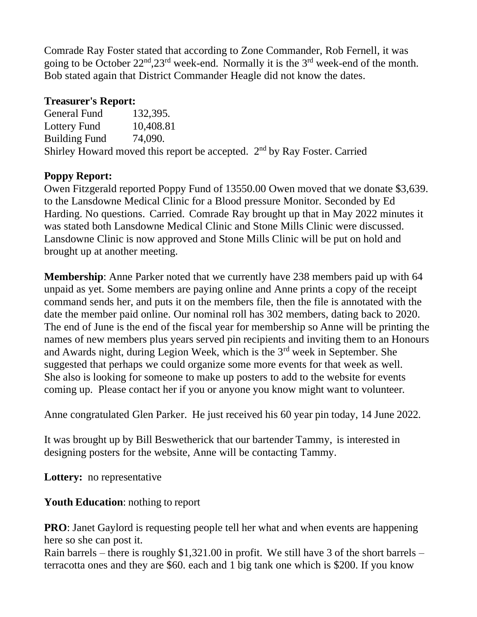Comrade Ray Foster stated that according to Zone Commander, Rob Fernell, it was going to be October  $22^{\text{nd}}$ ,  $23^{\text{rd}}$  week-end. Normally it is the  $3^{\text{rd}}$  week-end of the month. Bob stated again that District Commander Heagle did not know the dates.

## **Treasurer's Report:**

General Fund 132,395. Lottery Fund 10.408.81 Building Fund 74,090. Shirley Howard moved this report be accepted. 2<sup>nd</sup> by Ray Foster. Carried

# **Poppy Report:**

Owen Fitzgerald reported Poppy Fund of 13550.00 Owen moved that we donate \$3,639. to the Lansdowne Medical Clinic for a Blood pressure Monitor. Seconded by Ed Harding. No questions. Carried. Comrade Ray brought up that in May 2022 minutes it was stated both Lansdowne Medical Clinic and Stone Mills Clinic were discussed. Lansdowne Clinic is now approved and Stone Mills Clinic will be put on hold and brought up at another meeting.

**Membership**: Anne Parker noted that we currently have 238 members paid up with 64 unpaid as yet. Some members are paying online and Anne prints a copy of the receipt command sends her, and puts it on the members file, then the file is annotated with the date the member paid online. Our nominal roll has 302 members, dating back to 2020. The end of June is the end of the fiscal year for membership so Anne will be printing the names of new members plus years served pin recipients and inviting them to an Honours and Awards night, during Legion Week, which is the 3rd week in September. She suggested that perhaps we could organize some more events for that week as well. She also is looking for someone to make up posters to add to the website for events coming up. Please contact her if you or anyone you know might want to volunteer.

Anne congratulated Glen Parker. He just received his 60 year pin today, 14 June 2022.

It was brought up by Bill Beswetherick that our bartender Tammy, is interested in designing posters for the website, Anne will be contacting Tammy.

**Lottery:** no representative

# **Youth Education**: nothing to report

**PRO**: Janet Gaylord is requesting people tell her what and when events are happening here so she can post it.

Rain barrels – there is roughly  $$1,321.00$  in profit. We still have 3 of the short barrels – terracotta ones and they are \$60. each and 1 big tank one which is \$200. If you know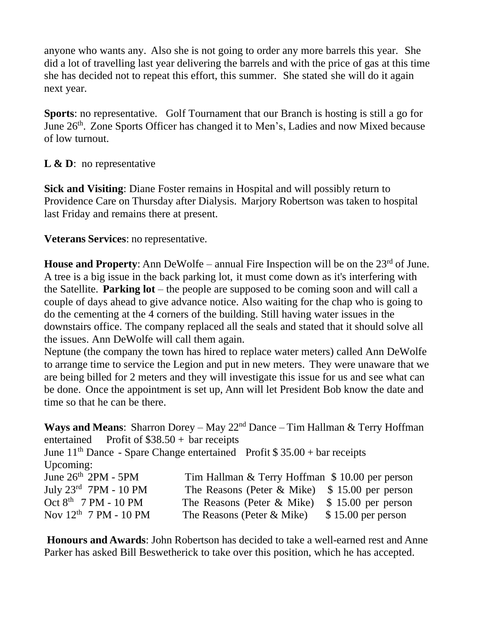anyone who wants any. Also she is not going to order any more barrels this year. She did a lot of travelling last year delivering the barrels and with the price of gas at this time she has decided not to repeat this effort, this summer. She stated she will do it again next year.

**Sports**: no representative. Golf Tournament that our Branch is hosting is still a go for June 26<sup>th</sup>. Zone Sports Officer has changed it to Men's, Ladies and now Mixed because of low turnout.

## **L & D**: no representative

**Sick and Visiting**: Diane Foster remains in Hospital and will possibly return to Providence Care on Thursday after Dialysis. Marjory Robertson was taken to hospital last Friday and remains there at present.

**Veterans Services**: no representative.

**House and Property**: Ann DeWolfe – annual Fire Inspection will be on the 23<sup>rd</sup> of June. A tree is a big issue in the back parking lot, it must come down as it's interfering with the Satellite. **Parking lot** – the people are supposed to be coming soon and will call a couple of days ahead to give advance notice. Also waiting for the chap who is going to do the cementing at the 4 corners of the building. Still having water issues in the downstairs office. The company replaced all the seals and stated that it should solve all the issues. Ann DeWolfe will call them again.

Neptune (the company the town has hired to replace water meters) called Ann DeWolfe to arrange time to service the Legion and put in new meters. They were unaware that we are being billed for 2 meters and they will investigate this issue for us and see what can be done. Once the appointment is set up, Ann will let President Bob know the date and time so that he can be there.

**Ways and Means**: Sharron Dorey – May 22nd Dance – Tim Hallman & Terry Hoffman entertained Profit of \$38.50 + bar receipts June  $11<sup>th</sup>$  Dance - Spare Change entertained Profit \$ 35.00 + bar receipts Upcoming: June 26<sup>th</sup> 2PM - 5PM Tim Hallman & Terry Hoffman \$ 10.00 per person July  $23<sup>rd</sup>$  7PM - 10 PM The Reasons (Peter & Mike) \$ 15.00 per person Oct  $8<sup>th</sup>$  7 PM - 10 PM The Reasons (Peter & Mike) \$ 15.00 per person Nov  $12<sup>th</sup>$  7 PM - 10 PM The Reasons (Peter & Mike) \$ 15.00 per person

**Honours and Awards**: John Robertson has decided to take a well-earned rest and Anne Parker has asked Bill Beswetherick to take over this position, which he has accepted.